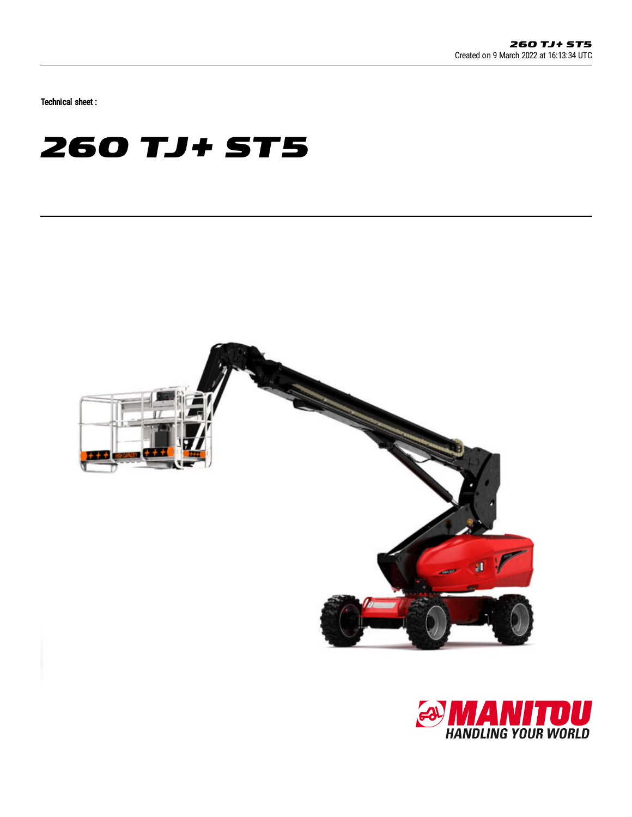Technical sheet :

# **260 TJ+ ST5**



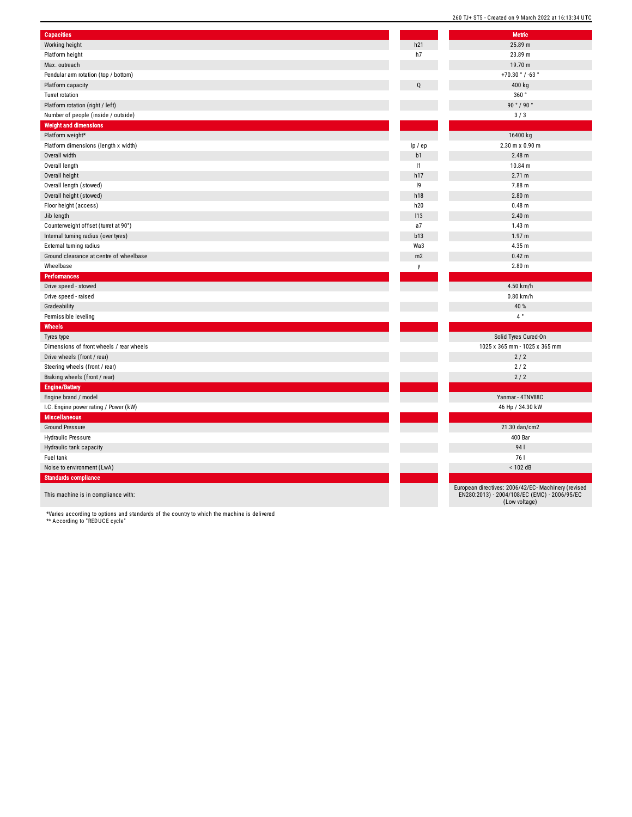| <b>Capacities</b>                        |                | <b>Metric</b>                                                                                                        |
|------------------------------------------|----------------|----------------------------------------------------------------------------------------------------------------------|
| Working height                           | h21            | 25.89 m                                                                                                              |
| Platform height                          | h7             | 23.89 m                                                                                                              |
| Max. outreach                            |                | 19.70 m                                                                                                              |
| Pendular arm rotation (top / bottom)     |                | +70.30 $^{\circ}$ / -63 $^{\circ}$                                                                                   |
| Platform capacity                        |                | 400 kg                                                                                                               |
| Turret rotation                          |                | 360°                                                                                                                 |
| Platform rotation (right / left)         |                | 90°/90°                                                                                                              |
| Number of people (inside / outside)      |                | 3/3                                                                                                                  |
| <b>Weight and dimensions</b>             |                |                                                                                                                      |
| Platform weight*                         |                | 16400 kg                                                                                                             |
| Platform dimensions (length x width)     | lp / ep        | 2.30 m x 0.90 m                                                                                                      |
| Overall width                            | b <sub>1</sub> | 2.48 m                                                                                                               |
| Overall length                           | 1              | 10.84 m                                                                                                              |
| Overall height                           | h17            | 2.71 m                                                                                                               |
| Overall length (stowed)                  | 9              | 7.88 m                                                                                                               |
| Overall height (stowed)                  | h18            | 2.80 <sub>m</sub>                                                                                                    |
| Floor height (access)                    | h20            | 0.48 m                                                                                                               |
| Jib length                               | 113            | 2.40 <sub>m</sub>                                                                                                    |
| Counterweight offset (turret at 90°)     | a7             | 1.43 m                                                                                                               |
| Internal turning radius (over tyres)     | b13            | 1.97 <sub>m</sub>                                                                                                    |
| External turning radius                  | Wa3            | 4.35 m                                                                                                               |
| Ground clearance at centre of wheelbase  | m2             | 0.42 <sub>m</sub>                                                                                                    |
| Wheelbase                                | y              | 2.80 m                                                                                                               |
| Performances                             |                |                                                                                                                      |
| Drive speed - stowed                     |                | 4.50 km/h                                                                                                            |
| Drive speed - raised                     |                | $0.80$ km/h                                                                                                          |
| Gradeability                             |                | 40 %                                                                                                                 |
| Permissible leveling                     |                | $4~^{\circ}$                                                                                                         |
| Wheels                                   |                |                                                                                                                      |
| Tyres type                               |                | Solid Tyres Cured-On                                                                                                 |
| Dimensions of front wheels / rear wheels |                | 1025 x 365 mm - 1025 x 365 mm                                                                                        |
| Drive wheels (front / rear)              |                | 2/2                                                                                                                  |
| Steering wheels (front / rear)           |                | 2/2                                                                                                                  |
| Braking wheels (front / rear)            |                | 2/2                                                                                                                  |
| <b>Engine/Battery</b>                    |                |                                                                                                                      |
|                                          |                | Yanmar - 4TNV88C                                                                                                     |
| Engine brand / model                     |                |                                                                                                                      |
| I.C. Engine power rating / Power (kW)    |                | 46 Hp / 34.30 kW                                                                                                     |
| <b>Miscellaneous</b>                     |                |                                                                                                                      |
| <b>Ground Pressure</b>                   |                | 21.30 dan/cm2                                                                                                        |
| <b>Hydraulic Pressure</b>                |                | <b>400 Bar</b>                                                                                                       |
| Hydraulic tank capacity                  |                | 941                                                                                                                  |
| Fuel tank                                |                | 761                                                                                                                  |
| Noise to environment (LwA)               |                | < 102 dB                                                                                                             |
| <b>Standards compliance</b>              |                |                                                                                                                      |
| This machine is in compliance with:      |                | European directives: 2006/42/EC- Machinery (revised<br>EN280:2013) - 2004/108/EC (EMC) - 2006/95/EC<br>(Low voltage) |

\*Varies according to options and standards of the country to which the machine is delivered \*\* According to "REDUCE cycle"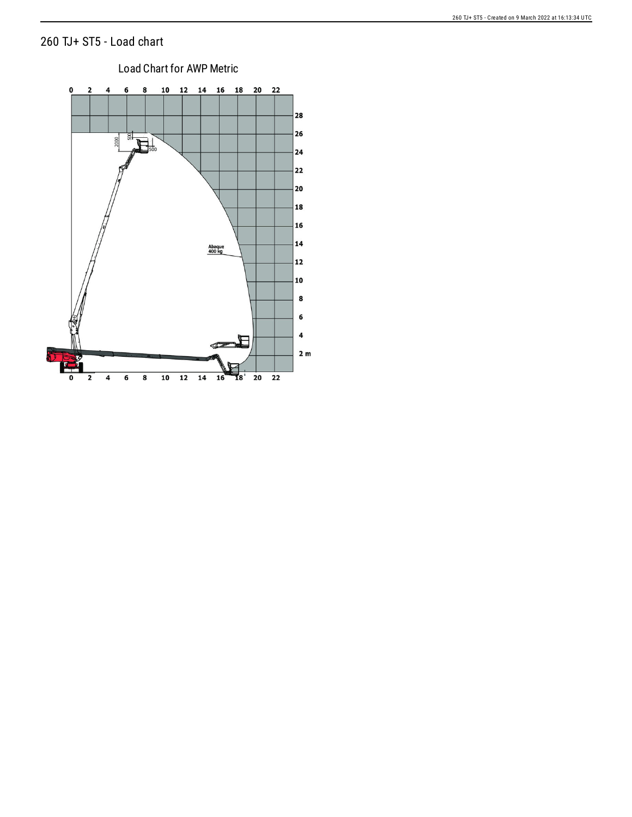#### TJ+ ST5 - Load chart



## Load Chart for AWP Metric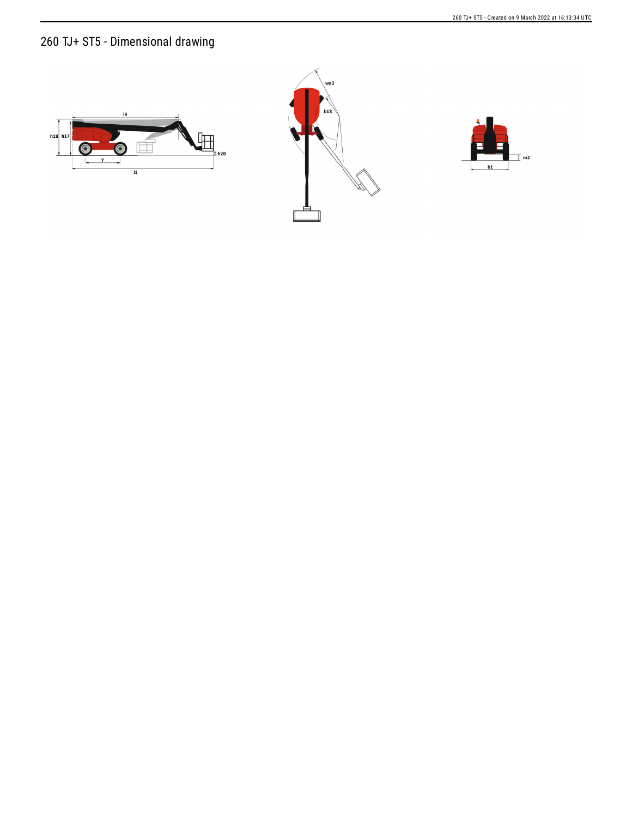### 260 TJ+ ST5 - Dimensional drawing





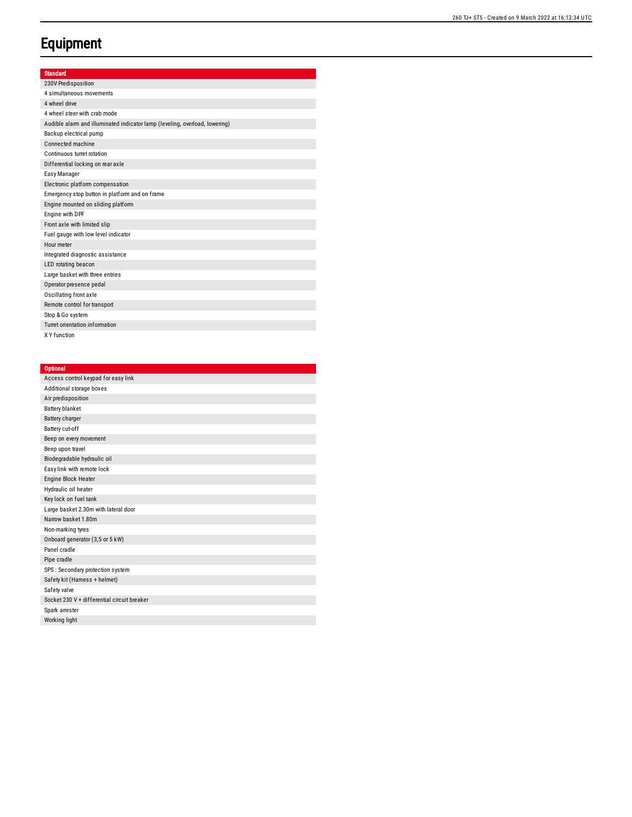#### **Equipment**

| <b>Standard</b> |  |  |
|-----------------|--|--|
|                 |  |  |
|                 |  |  |

| 230V Predisposition                                                         |
|-----------------------------------------------------------------------------|
| 4 simultaneous movements                                                    |
| 4 wheel drive                                                               |
| 4 wheel steer with crab mode                                                |
| Audible alarm and illuminated indicator lamp (leveling, overload, lowering) |
| Backup electrical pump                                                      |
| Connected machine                                                           |
| Continuous turret rotation                                                  |
| Differential locking on rear axle                                           |
| Easy Manager                                                                |
| Electronic platform compensation                                            |
| Emergency stop button in platform and on frame                              |
| Engine mounted on sliding platform                                          |
| Engine with DPF                                                             |
| Front axle with limited slip                                                |
| Fuel gauge with low level indicator                                         |
| Hour meter                                                                  |
| Integrated diagnostic assistance                                            |
| LED rotating beacon                                                         |
| Large basket with three entries                                             |
| Operator presence pedal                                                     |
| Oscillating front axle                                                      |
| Remote control for transport                                                |
| Stop & Go system                                                            |
| Turret orientation information                                              |
| X Y function                                                                |

| <b>Optional</b>                             |
|---------------------------------------------|
| Access control keypad for easy link         |
| Additional storage boxes                    |
| Air predisposition                          |
| <b>Battery blanket</b>                      |
| Battery charger                             |
| Battery cut-off                             |
| Beep on every movement                      |
| Beep upon travel                            |
| Biodegradable hydraulic oil                 |
| Easy link with remote lock                  |
| Engine Block Heater                         |
| Hydraulic oil heater                        |
| Key lock on fuel tank                       |
| Large basket 2.30m with lateral door        |
| Narrow basket 1.80m                         |
| Non-marking tyres                           |
| Onboard generator (3,5 or 5 kW)             |
| Panel cradle                                |
| Pipe cradle                                 |
| SPS : Secondary protection system           |
| Safety kit (Harness + helmet)               |
| Safety valve                                |
| Socket 230 V + differential circuit breaker |
| Spark arrester                              |
| Working light                               |